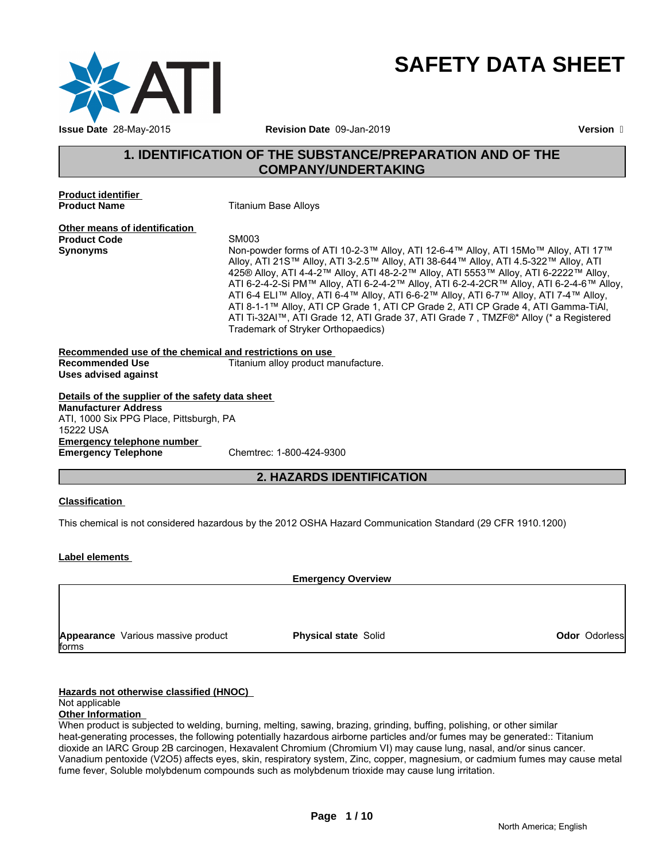

# **SAFETY DATA SHEET**

# **1. IDENTIFICATION OF THE SUBSTANCE/PREPARATION AND OF THE COMPANY/UNDERTAKING**

**Product identifier** 

**Product Name** Titanium Base Alloys

**Other means of identification**<br>**Product Code** SM003 **Product Code** 

Synonyms **Non-powder forms of ATI 10-2-3™ Alloy, ATI 12-6-4™ Alloy, ATI 15Mo™ Alloy, ATI 17™** Alloy, ATI 21S™ Alloy, ATI 3-2.5™ Alloy, ATI 38-644™ Alloy, ATI 4.5-322™ Alloy, ATI 425® Alloy, ATI 4-4-2™ Alloy, ATI 48-2-2™ Alloy, ATI 5553™ Alloy, ATI 6-2222™ Alloy, ATI 6-2-4-2-Si PM™ Alloy, ATI 6-2-4-2™ Alloy, ATI 6-2-4-2CR™ Alloy, ATI 6-2-4-6™ Alloy, ATI 6-4 ELI™ Alloy, ATI 6-4™ Alloy, ATI 6-6-2™ Alloy, ATI 6-7™ Alloy, ATI 7-4™ Alloy, ATI 8-1-1™ Alloy, ATI CP Grade 1, ATI CP Grade 2, ATI CP Grade 4, ATI Gamma-TiAl, ATI Ti-32Al™, ATI Grade 12, ATI Grade 37, ATI Grade 7 , TMZF®\* Alloy (\* a Registered Trademark of Stryker Orthopaedics)

#### **Recommended use of the chemical and restrictions on use Recommended Use Titanium alloy product manufacture. Uses advised against**

**Details of the supplier of the safety data sheet Emergency telephone number<br>
Emergency Telephone** Chemtrec: 1-800-424-9300 **Emergency Telephone Manufacturer Address** ATI, 1000 Six PPG Place, Pittsburgh, PA 15222 USA

# **2. HAZARDS IDENTIFICATION**

### **Classification**

This chemical is not considered hazardous by the 2012 OSHA Hazard Communication Standard (29 CFR 1910.1200)

### **Label elements**

**Emergency Overview**

**Appearance** Various massive product forms

**Physical state Solid Contract Contract Contract Contract Contract Contract Contract Contract Contract Contract Contract Contract Contract Contract Contract Contract Contract Contract Contract Contract Contract Contract Co** 

#### **Hazards not otherwise classified (HNOC)**

#### Not applicable

#### **Other Information**

When product is subjected to welding, burning, melting, sawing, brazing, grinding, buffing, polishing, or other similar heat-generating processes, the following potentially hazardous airborne particles and/or fumes may be generated:: Titanium dioxide an IARC Group 2B carcinogen, Hexavalent Chromium (Chromium VI) may cause lung, nasal, and/or sinus cancer. Vanadium pentoxide (V2O5) affects eyes, skin, respiratory system, Zinc, copper, magnesium, or cadmium fumes may cause metal fume fever, Soluble molybdenum compounds such as molybdenum trioxide may cause lung irritation.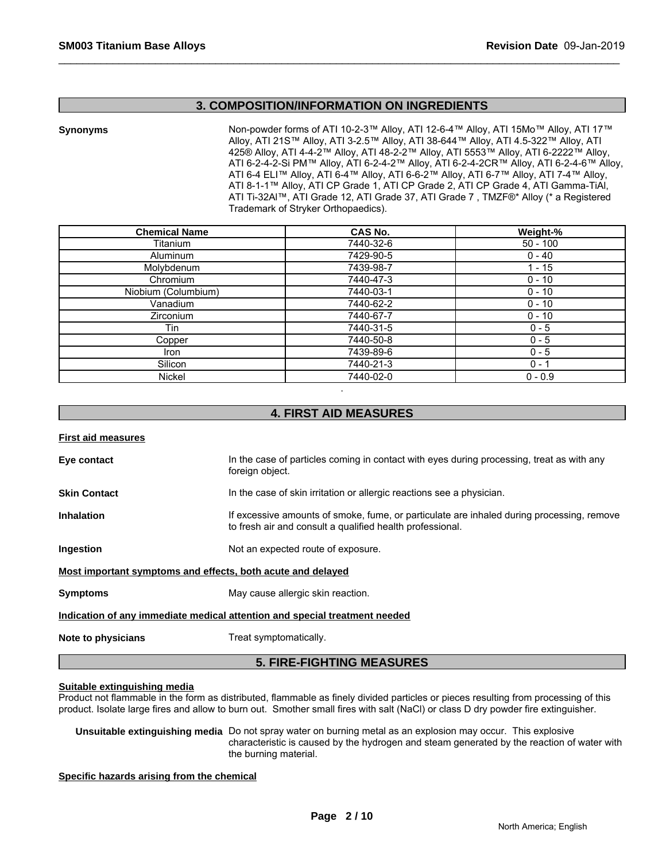#### **3. COMPOSITION/INFORMATION ON INGREDIENTS**

**Synonyms** Non-powder forms of ATI 10-2-3™ Alloy, ATI 12-6-4™ Alloy, ATI 15Mo™ Alloy, ATI 17™ Alloy, ATI 21S™ Alloy, ATI 3-2.5™ Alloy, ATI 38-644™ Alloy, ATI 4.5-322™ Alloy, ATI 425® Alloy, ATI 4-4-2™ Alloy, ATI 48-2-2™ Alloy, ATI 5553™ Alloy, ATI 6-2222™ Alloy, ATI 6-2-4-2-Si PM™ Alloy, ATI 6-2-4-2™ Alloy, ATI 6-2-4-2CR™ Alloy, ATI 6-2-4-6™ Alloy, ATI 6-4 ELI™ Alloy, ATI 6-4™ Alloy, ATI 6-6-2™ Alloy, ATI 6-7™ Alloy, ATI 7-4™ Alloy, ATI 8-1-1™ Alloy, ATI CP Grade 1, ATI CP Grade 2, ATI CP Grade 4, ATI Gamma-TiAl, ATI Ti-32Al™, ATI Grade 12, ATI Grade 37, ATI Grade 7 , TMZF®\* Alloy (\* a Registered Trademark of Stryker Orthopaedics).

| <b>Chemical Name</b> | CAS No.   | Weight-%   |
|----------------------|-----------|------------|
| Titanium             | 7440-32-6 | $50 - 100$ |
| Aluminum             | 7429-90-5 | $0 - 40$   |
| Molybdenum           | 7439-98-7 | $-15$      |
| Chromium             | 7440-47-3 | $0 - 10$   |
| Niobium (Columbium)  | 7440-03-1 | $0 - 10$   |
| Vanadium             | 7440-62-2 | $0 - 10$   |
| <b>Zirconium</b>     | 7440-67-7 | $0 - 10$   |
| Tin                  | 7440-31-5 | $0 - 5$    |
| Copper               | 7440-50-8 | $0 - 5$    |
| Iron                 | 7439-89-6 | $0 - 5$    |
| Silicon              | 7440-21-3 | $0 - 1$    |
| Nickel               | 7440-02-0 | $0 - 0.9$  |

## **4. FIRST AID MEASURES**

# **First aid measures Eye contact** In the case of particles coming in contact with eyes during processing, treat as with any foreign object. **Skin Contact In the case of skin irritation or allergic reactions see a physician. Inhalation** If excessive amounts of smoke, fume, or particulate are inhaled during processing, remove to fresh air and consult a qualified health professional. **Ingestion Ingestion Ingestion Ingestion I Most important symptoms and effects, both acute and delayed Symptoms** May cause allergic skin reaction. **Indication of any immediate medical attention and special treatment needed Note to physicians** Treat symptomatically. **5. FIRE-FIGHTING MEASURES**

#### **Suitable extinguishing media**

Product not flammable in the form as distributed, flammable as finely divided particles or pieces resulting from processing of this product. Isolate large fires and allow to burn out. Smother small fires with salt (NaCl) or class D dry powder fire extinguisher.

**Unsuitable extinguishing media** Do not spray water on burning metal as an explosion may occur. This explosive characteristic is caused by the hydrogen and steam generated by the reaction of water with the burning material.

#### **Specific hazards arising from the chemical**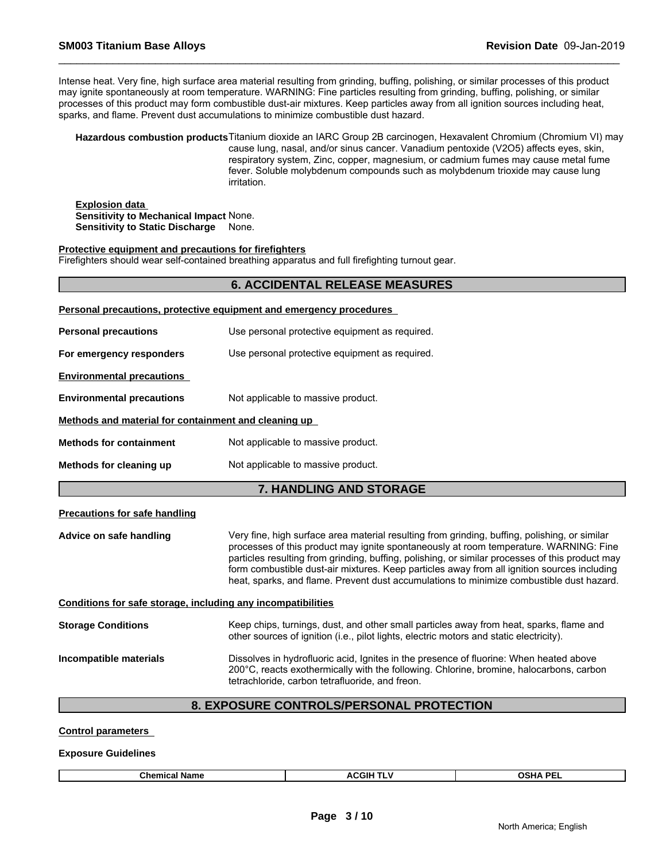Intense heat. Very fine, high surface area material resulting from grinding, buffing, polishing, or similar processes of this product may ignite spontaneously at room temperature. WARNING: Fine particles resulting from grinding, buffing, polishing, or similar processes of this product may form combustible dust-air mixtures. Keep particles away from all ignition sources including heat, sparks, and flame. Prevent dust accumulations to minimize combustible dust hazard.

**Hazardous combustion products**Titanium dioxide an IARC Group 2B carcinogen, Hexavalent Chromium (Chromium VI) may cause lung, nasal, and/or sinus cancer. Vanadium pentoxide (V2O5) affects eyes, skin, respiratory system, Zinc, copper, magnesium, or cadmium fumes may cause metal fume fever. Soluble molybdenum compounds such as molybdenum trioxide may cause lung irritation.

**Explosion data Sensitivity to Mechanical Impact** None. **Sensitivity to Static Discharge** None.

#### **Protective equipment and precautions for firefighters**

Firefighters should wear self-contained breathing apparatus and full firefighting turnout gear.

|                                                              | <b>6. ACCIDENTAL RELEASE MEASURES</b>                                                                                                                                                                                                                                                                                                                                                                                                                                                |
|--------------------------------------------------------------|--------------------------------------------------------------------------------------------------------------------------------------------------------------------------------------------------------------------------------------------------------------------------------------------------------------------------------------------------------------------------------------------------------------------------------------------------------------------------------------|
|                                                              | Personal precautions, protective equipment and emergency procedures                                                                                                                                                                                                                                                                                                                                                                                                                  |
| <b>Personal precautions</b>                                  | Use personal protective equipment as required.                                                                                                                                                                                                                                                                                                                                                                                                                                       |
| For emergency responders                                     | Use personal protective equipment as required.                                                                                                                                                                                                                                                                                                                                                                                                                                       |
| <b>Environmental precautions</b>                             |                                                                                                                                                                                                                                                                                                                                                                                                                                                                                      |
| <b>Environmental precautions</b>                             | Not applicable to massive product.                                                                                                                                                                                                                                                                                                                                                                                                                                                   |
| Methods and material for containment and cleaning up         |                                                                                                                                                                                                                                                                                                                                                                                                                                                                                      |
| <b>Methods for containment</b>                               | Not applicable to massive product.                                                                                                                                                                                                                                                                                                                                                                                                                                                   |
| Methods for cleaning up                                      | Not applicable to massive product.                                                                                                                                                                                                                                                                                                                                                                                                                                                   |
|                                                              | 7. HANDLING AND STORAGE                                                                                                                                                                                                                                                                                                                                                                                                                                                              |
| <b>Precautions for safe handling</b>                         |                                                                                                                                                                                                                                                                                                                                                                                                                                                                                      |
| Advice on safe handling                                      | Very fine, high surface area material resulting from grinding, buffing, polishing, or similar<br>processes of this product may ignite spontaneously at room temperature. WARNING: Fine<br>particles resulting from grinding, buffing, polishing, or similar processes of this product may<br>form combustible dust-air mixtures. Keep particles away from all ignition sources including<br>heat, sparks, and flame. Prevent dust accumulations to minimize combustible dust hazard. |
| Conditions for safe storage, including any incompatibilities |                                                                                                                                                                                                                                                                                                                                                                                                                                                                                      |
| <b>Storage Conditions</b>                                    | Keep chips, turnings, dust, and other small particles away from heat, sparks, flame and<br>other sources of ignition (i.e., pilot lights, electric motors and static electricity).                                                                                                                                                                                                                                                                                                   |
| Incompatible materials                                       | Dissolves in hydrofluoric acid, Ignites in the presence of fluorine: When heated above<br>200°C, reacts exothermically with the following. Chlorine, bromine, halocarbons, carbon<br>tetrachloride, carbon tetrafluoride, and freon.                                                                                                                                                                                                                                                 |

# **8. EXPOSURE CONTROLS/PERSONAL PROTECTION**

**Control parameters** 

**Exposure Guidelines**

| Chem<br>וי Name<br>.<br>USNA<br>. L |  | $\Lambda$ $\sim$ $\mu$ $\sim$ $\sim$ | <b>OCUA DEL</b> |
|-------------------------------------|--|--------------------------------------|-----------------|
|-------------------------------------|--|--------------------------------------|-----------------|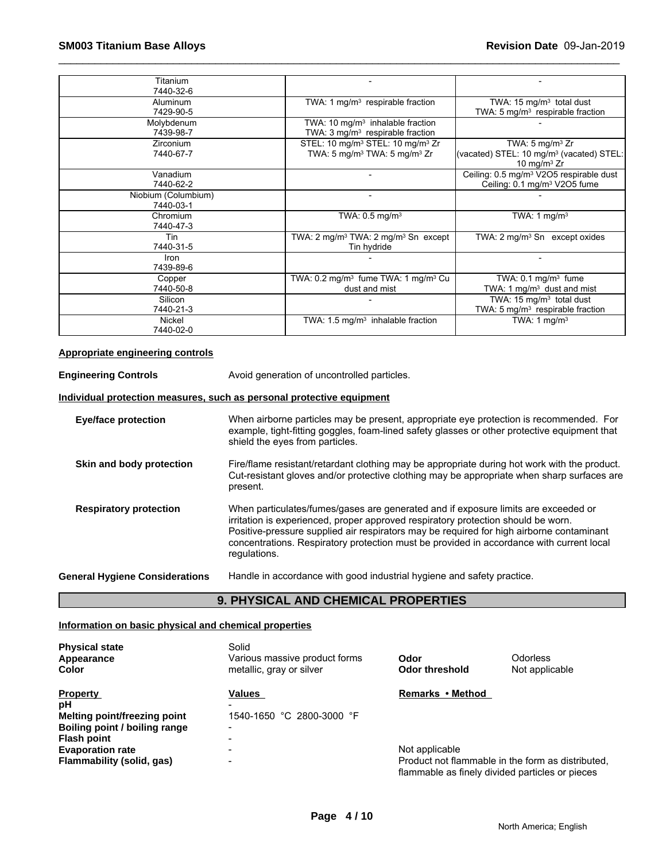| Titanium<br>7440-32-6            |                                                                            |                                                                                                 |
|----------------------------------|----------------------------------------------------------------------------|-------------------------------------------------------------------------------------------------|
| Aluminum                         | TWA: 1 $mg/m3$ respirable fraction                                         | TWA: $15 \text{ mg/m}^3$ total dust                                                             |
| 7429-90-5                        |                                                                            | TWA: 5 $mg/m3$ respirable fraction                                                              |
| Molybdenum                       | TWA: 10 mg/m <sup>3</sup> inhalable fraction                               |                                                                                                 |
| 7439-98-7                        | TWA: $3 \text{ mg/m}^3$ respirable fraction                                |                                                                                                 |
| <b>Zirconium</b>                 | STEL: 10 mg/m <sup>3</sup> STEL: 10 mg/m <sup>3</sup> Zr                   | TWA: $5 \text{ mg/m}^3$ Zr                                                                      |
| 7440-67-7                        | TWA: 5 mg/m <sup>3</sup> TWA: 5 mg/m <sup>3</sup> Zr                       | (vacated) STEL: 10 mg/m <sup>3</sup> (vacated) STEL:<br>10 mg/m $3$ Zr                          |
| Vanadium<br>7440-62-2            | -                                                                          | Ceiling: 0.5 mg/m <sup>3</sup> V2O5 respirable dust<br>Ceiling: 0.1 mg/m <sup>3</sup> V2O5 fume |
| Niobium (Columbium)<br>7440-03-1 | $\blacksquare$                                                             |                                                                                                 |
| Chromium<br>7440-47-3            | TWA: $0.5 \text{ mg/m}^3$                                                  | TWA: 1 mg/m <sup>3</sup>                                                                        |
| Tin<br>7440-31-5                 | TWA: 2 mg/m <sup>3</sup> TWA: 2 mg/m <sup>3</sup> Sn except<br>Tin hydride | TWA: $2 \text{mq/m}^3$ Sn except oxides                                                         |
| Iron<br>7439-89-6                |                                                                            |                                                                                                 |
| Copper                           | TWA: $0.2 \text{ mg/m}^3$ fume TWA: 1 mg/m <sup>3</sup> Cu                 | TWA: $0.1 \text{ mg/m}^3$ fume                                                                  |
| 7440-50-8                        | dust and mist                                                              | TWA: 1 mg/m <sup>3</sup> dust and mist                                                          |
| Silicon                          |                                                                            | TWA: $15 \text{ mg/m}^3$ total dust                                                             |
| 7440-21-3                        |                                                                            | TWA: 5 $mg/m3$ respirable fraction                                                              |
| Nickel                           | TWA: 1.5 mg/m <sup>3</sup> inhalable fraction                              | TWA: $1 \text{ mg/m}^3$                                                                         |
| 7440-02-0                        |                                                                            |                                                                                                 |

#### **Appropriate engineering controls**

**Engineering Controls** Avoid generation of uncontrolled particles.

#### **Individual protection measures, such as personal protective equipment**

| Eye/face protection                   | When airborne particles may be present, appropriate eye protection is recommended. For<br>example, tight-fitting goggles, foam-lined safety glasses or other protective equipment that<br>shield the eyes from particles.                                                                                                                                                       |
|---------------------------------------|---------------------------------------------------------------------------------------------------------------------------------------------------------------------------------------------------------------------------------------------------------------------------------------------------------------------------------------------------------------------------------|
| Skin and body protection              | Fire/flame resistant/retardant clothing may be appropriate during hot work with the product.<br>Cut-resistant gloves and/or protective clothing may be appropriate when sharp surfaces are<br>present.                                                                                                                                                                          |
| <b>Respiratory protection</b>         | When particulates/fumes/gases are generated and if exposure limits are exceeded or<br>irritation is experienced, proper approved respiratory protection should be worn.<br>Positive-pressure supplied air respirators may be required for high airborne contaminant<br>concentrations. Respiratory protection must be provided in accordance with current local<br>regulations. |
| <b>General Hygiene Considerations</b> | Handle in accordance with good industrial hygiene and safety practice.                                                                                                                                                                                                                                                                                                          |

# **9. PHYSICAL AND CHEMICAL PROPERTIES**

### **Information on basic physical and chemical properties**

| <b>Physical state</b><br>Appearance<br>Color | Solid<br>Various massive product forms<br>metallic, gray or silver | Odor<br>Odor threshold                          | <b>Odorless</b><br>Not applicable                 |
|----------------------------------------------|--------------------------------------------------------------------|-------------------------------------------------|---------------------------------------------------|
| <b>Property</b>                              | Values                                                             | Remarks • Method                                |                                                   |
| рH                                           | $\blacksquare$                                                     |                                                 |                                                   |
| <b>Melting point/freezing point</b>          | 1540-1650 °C 2800-3000 °F                                          |                                                 |                                                   |
| Boiling point / boiling range                | $\blacksquare$                                                     |                                                 |                                                   |
| <b>Flash point</b>                           | $\blacksquare$                                                     |                                                 |                                                   |
| <b>Evaporation rate</b>                      | $\overline{\phantom{0}}$                                           | Not applicable                                  |                                                   |
| Flammability (solid, gas)                    | $\blacksquare$                                                     | flammable as finely divided particles or pieces | Product not flammable in the form as distributed. |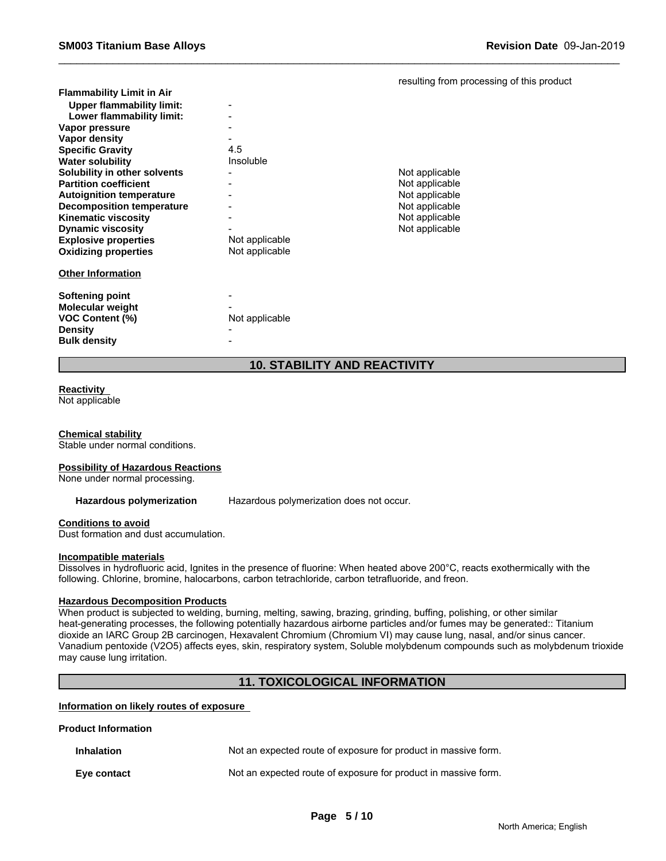|  | resulting from processing of this product |  |  |
|--|-------------------------------------------|--|--|
|  |                                           |  |  |

| <b>Flammability Limit in Air</b> |                |                |
|----------------------------------|----------------|----------------|
| <b>Upper flammability limit:</b> |                |                |
| Lower flammability limit:        |                |                |
| Vapor pressure                   |                |                |
| Vapor density                    |                |                |
| <b>Specific Gravity</b>          | 4.5            |                |
| <b>Water solubility</b>          | Insoluble      |                |
| Solubility in other solvents     |                | Not applicable |
| <b>Partition coefficient</b>     |                | Not applicable |
| <b>Autoignition temperature</b>  |                | Not applicable |
| <b>Decomposition temperature</b> |                | Not applicable |
| <b>Kinematic viscosity</b>       |                | Not applicable |
| <b>Dynamic viscosity</b>         |                | Not applicable |
| <b>Explosive properties</b>      | Not applicable |                |
| <b>Oxidizing properties</b>      | Not applicable |                |
|                                  |                |                |
| <b>Other Information</b>         |                |                |
|                                  |                |                |
| Softening point                  |                |                |
| <b>Molecular weight</b>          |                |                |
| <b>VOC Content (%)</b>           | Not applicable |                |
| <b>Density</b>                   |                |                |
| <b>Bulk density</b>              |                |                |
|                                  |                |                |

# **10. STABILITY AND REACTIVITY**

# **Reactivity**

Not applicable

#### **Chemical stability**

Stable under normal conditions.

#### **Possibility of Hazardous Reactions**

None under normal processing.

**Hazardous polymerization** Hazardous polymerization does not occur.

#### **Conditions to avoid**

Dust formation and dust accumulation.

#### **Incompatible materials**

Dissolves in hydrofluoric acid, Ignites in the presence of fluorine: When heated above 200°C, reacts exothermically with the following. Chlorine, bromine, halocarbons, carbon tetrachloride, carbon tetrafluoride, and freon.

#### **Hazardous Decomposition Products**

When product is subjected to welding, burning, melting, sawing, brazing, grinding, buffing, polishing, or other similar heat-generating processes, the following potentially hazardous airborne particles and/or fumes may be generated:: Titanium dioxide an IARC Group 2B carcinogen, Hexavalent Chromium (Chromium VI) may cause lung, nasal, and/or sinus cancer. Vanadium pentoxide (V2O5) affects eyes, skin, respiratory system, Soluble molybdenum compounds such as molybdenum trioxide may cause lung irritation.

## **11. TOXICOLOGICAL INFORMATION**

#### **Information on likely routes of exposure**

#### **Product Information**

| Inhalation  | Not an expected route of exposure for product in massive form. |
|-------------|----------------------------------------------------------------|
| Eye contact | Not an expected route of exposure for product in massive form. |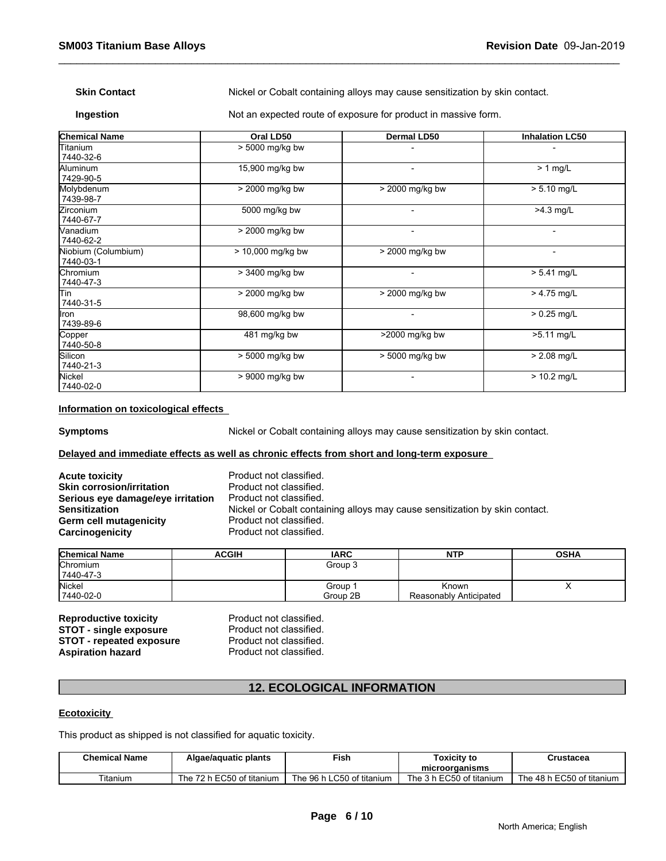**Skin Contact** Nickel or Cobalt containing alloys may cause sensitization by skin contact.

**Ingestion** Not an expected route of exposure for product in massive form.

| <b>Chemical Name</b>             | Oral LD50           | Dermal LD50              | <b>Inhalation LC50</b>   |
|----------------------------------|---------------------|--------------------------|--------------------------|
| Titanium<br>7440-32-6            | > 5000 mg/kg bw     |                          |                          |
| Aluminum<br>7429-90-5            | 15,900 mg/kg bw     | $\overline{\phantom{0}}$ | $> 1$ mg/L               |
| Molybdenum<br>7439-98-7          | > 2000 mg/kg bw     | $>$ 2000 mg/kg bw        | $> 5.10$ mg/L            |
| Zirconium<br>7440-67-7           | 5000 mg/kg bw       | $\overline{\phantom{0}}$ | $>4.3$ mg/L              |
| Vanadium<br>7440-62-2            | > 2000 mg/kg bw     | $\overline{\phantom{a}}$ | $\overline{\phantom{a}}$ |
| Niobium (Columbium)<br>7440-03-1 | $> 10,000$ mg/kg bw | > 2000 mg/kg bw          | $\overline{\phantom{a}}$ |
| <b>Chromium</b><br>7440-47-3     | > 3400 mg/kg bw     |                          | $> 5.41$ mg/L            |
| lTin<br>7440-31-5                | > 2000 mg/kg bw     | > 2000 mg/kg bw          | $> 4.75$ mg/L            |
| llron<br>7439-89-6               | 98,600 mg/kg bw     | $\overline{\phantom{a}}$ | $> 0.25$ mg/L            |
| Copper<br>7440-50-8              | 481 mg/kg bw        | >2000 mg/kg bw           | $>5.11$ mg/L             |
| Silicon<br>7440-21-3             | > 5000 mg/kg bw     | > 5000 mg/kg bw          | $> 2.08$ mg/L            |
| Nickel<br>7440-02-0              | $> 9000$ mg/kg bw   | $\overline{\phantom{0}}$ | $> 10.2$ mg/L            |

#### **Information on toxicological effects**

**Symptoms** Nickel or Cobalt containing alloys may cause sensitization by skin contact.

#### **Delayed and immediate effects as well as chronic effects from short and long-term exposure**

| <b>Acute toxicity</b>             |  |
|-----------------------------------|--|
| <b>Skin corrosion/irritation</b>  |  |
| Serious eye damage/eye irritation |  |
| <b>Sensitization</b>              |  |
| Germ cell mutagenicity            |  |
| Carcinogenicity                   |  |

Product not classified. **Product not classified. Product not classified. Sensitization** Nickel or Cobalt containing alloys may cause sensitization by skin contact. Product not classified. Product not classified.

| <b>Chemical Name</b> | <b>ACGIH</b> | <b>IARC</b> | <b>NTP</b>             | <b>OSHA</b> |
|----------------------|--------------|-------------|------------------------|-------------|
| <b>Chromium</b>      |              | Group 3     |                        |             |
| 7440-47-3            |              |             |                        |             |
| Nickel               |              | Group       | Known                  |             |
| 7440-02-0            |              | Group 2B    | Reasonably Anticipated |             |

**Reproductive toxicity example 3 Reproductive Product not classified.**<br> **STOT - single exposure** Product not classified. **STOT - single exposure** Product not classified.<br> **STOT - repeated exposure** Product not classified. **STOT - repeated exposure** Product not classified.<br> **Aspiration hazard** Product not classified. **Aspiration hazard** 

# **12. ECOLOGICAL INFORMATION**

#### **Ecotoxicity**

This product as shipped is not classified for aquatic toxicity.

| <b>Chemical Name</b> | - -<br>Algae/aguatic plants                            | Fish                               | <b>Foxicity to</b>         | Crustacea                                |
|----------------------|--------------------------------------------------------|------------------------------------|----------------------------|------------------------------------------|
|                      |                                                        |                                    | microorganisms             |                                          |
| ïtanium              | EC50<br>$\overline{\phantom{a}}$<br>of titanium<br>⊺he | _C50<br>96<br>∣ of titanium<br>ייי | EC50<br>of titanium<br>⊺he | $F^{\sim}$<br>48 h<br>of titanium<br>-he |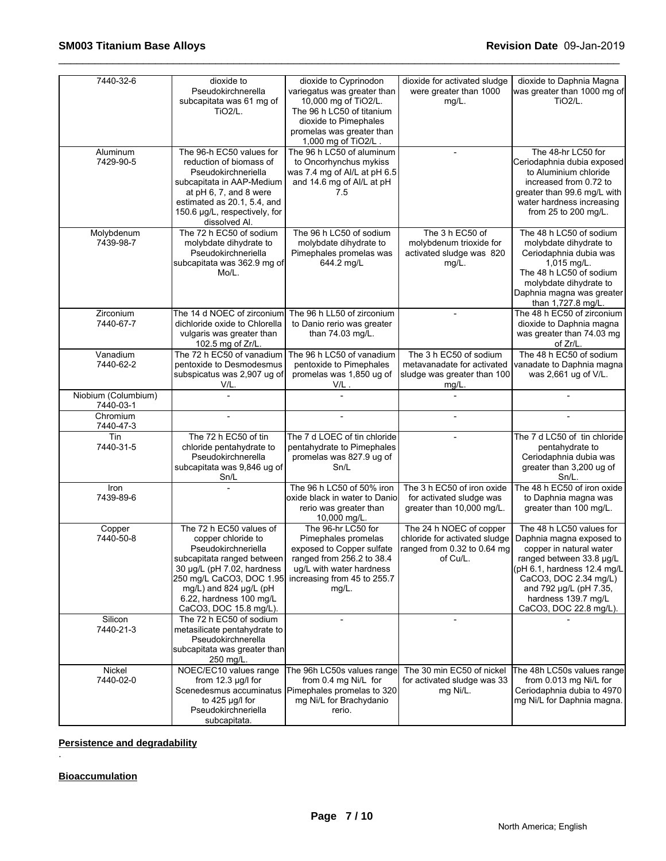| 7440-32-6                        | dioxide to<br>Pseudokirchnerella<br>subcapitata was 61 mg of<br><b>TiO2/L.</b>                                                                                                                                                                      | dioxide to Cyprinodon<br>variegatus was greater than<br>10,000 mg of TiO2/L.<br>The 96 h LC50 of titanium<br>dioxide to Pimephales<br>promelas was greater than<br>1,000 mg of TiO2/L | dioxide for activated sludge<br>were greater than 1000<br>$mg/L$ .                                  | dioxide to Daphnia Magna<br>was greater than 1000 mg of<br>TiO <sub>2</sub> /L.                                                                                                                                                                  |
|----------------------------------|-----------------------------------------------------------------------------------------------------------------------------------------------------------------------------------------------------------------------------------------------------|---------------------------------------------------------------------------------------------------------------------------------------------------------------------------------------|-----------------------------------------------------------------------------------------------------|--------------------------------------------------------------------------------------------------------------------------------------------------------------------------------------------------------------------------------------------------|
| Aluminum<br>7429-90-5            | The 96-h EC50 values for<br>reduction of biomass of<br>Pseudokirchneriella<br>subcapitata in AAP-Medium<br>at pH 6, 7, and 8 were<br>estimated as 20.1, 5.4, and<br>150.6 µg/L, respectively, for<br>dissolved Al.                                  | The 96 h LC50 of aluminum<br>to Oncorhynchus mykiss<br>was 7.4 mg of Al/L at pH 6.5<br>and 14.6 mg of Al/L at pH<br>7.5                                                               | $\blacksquare$                                                                                      | The 48-hr LC50 for<br>Ceriodaphnia dubia exposed<br>to Aluminium chloride<br>increased from 0.72 to<br>greater than 99.6 mg/L with<br>water hardness increasing<br>from 25 to 200 mg/L.                                                          |
| Molybdenum<br>7439-98-7          | The 72 h EC50 of sodium<br>molybdate dihydrate to<br>Pseudokirchneriella<br>subcapitata was 362.9 mg of<br>Mo/L.                                                                                                                                    | The 96 h LC50 of sodium<br>molybdate dihydrate to<br>Pimephales promelas was<br>644.2 mg/L                                                                                            | The 3 h EC50 of<br>molybdenum trioxide for<br>activated sludge was 820<br>$mg/L$ .                  | The 48 h LC50 of sodium<br>molybdate dihydrate to<br>Ceriodaphnia dubia was<br>$1,015$ mg/L.<br>The 48 h LC50 of sodium<br>molybdate dihydrate to<br>Daphnia magna was greater<br>than 1,727.8 mg/L.                                             |
| Zirconium<br>7440-67-7           | The 14 d NOEC of zirconium<br>dichloride oxide to Chlorella<br>vulgaris was greater than<br>102.5 mg of Zr/L.                                                                                                                                       | The 96 h LL50 of zirconium<br>to Danio rerio was greater<br>than 74.03 mg/L.                                                                                                          |                                                                                                     | The 48 h EC50 of zirconium<br>dioxide to Daphnia magna<br>was greater than 74.03 mg<br>of Zr/L.                                                                                                                                                  |
| Vanadium<br>7440-62-2            | The 72 h EC50 of vanadium<br>pentoxide to Desmodesmus<br>subspicatus was 2,907 ug of<br>V/L.                                                                                                                                                        | The 96 h LC50 of vanadium<br>pentoxide to Pimephales<br>promelas was 1,850 ug of<br>V/L                                                                                               | The 3 h EC50 of sodium<br>metavanadate for activated<br>sludge was greater than 100<br>$mg/L$ .     | The 48 h EC50 of sodium<br>vanadate to Daphnia magna<br>was 2,661 ug of V/L.                                                                                                                                                                     |
| Niobium (Columbium)<br>7440-03-1 |                                                                                                                                                                                                                                                     |                                                                                                                                                                                       |                                                                                                     |                                                                                                                                                                                                                                                  |
| Chromium<br>7440-47-3            |                                                                                                                                                                                                                                                     |                                                                                                                                                                                       |                                                                                                     |                                                                                                                                                                                                                                                  |
| Tin<br>7440-31-5                 | The 72 h EC50 of tin<br>chloride pentahydrate to<br>Pseudokirchnerella<br>subcapitata was 9,846 ug of<br>Sn/L                                                                                                                                       | The 7 d LOEC of tin chloride<br>pentahydrate to Pimephales<br>promelas was 827.9 ug of<br>Sn/L                                                                                        |                                                                                                     | The 7 d LC50 of tin chloride<br>pentahydrate to<br>Ceriodaphnia dubia was<br>greater than 3,200 ug of<br>$Sn/L$ .                                                                                                                                |
| Iron<br>7439-89-6                |                                                                                                                                                                                                                                                     | The 96 h LC50 of 50% iron<br>oxide black in water to Danio<br>rerio was greater than<br>10,000 mg/L.                                                                                  | The 3 h EC50 of iron oxide<br>for activated sludge was<br>greater than 10,000 mg/L.                 | The 48 h EC50 of iron oxide<br>to Daphnia magna was<br>greater than 100 mg/L.                                                                                                                                                                    |
| Copper<br>7440-50-8              | The 72 h EC50 values of<br>copper chloride to<br>Pseudokirchneriella<br>subcapitata ranged between<br>30 µg/L (pH 7.02, hardness<br>250 mg/L CaCO3, DOC 1.95<br>$mq/L$ ) and 824 $\mu q/L$ (pH<br>6.22, hardness 100 mg/L<br>CaCO3, DOC 15.8 mg/L). | The 96-hr LC50 for<br>Pimephales promelas<br>exposed to Copper sulfate<br>ranged from 256.2 to 38.4<br>ug/L with water hardness<br>increasing from 45 to 255.7<br>$mg/L$ .            | The 24 h NOEC of copper<br>chloride for activated sludge<br>ranged from 0.32 to 0.64 mg<br>of Cu/L. | The 48 h LC50 values for<br>Daphnia magna exposed to<br>copper in natural water<br>ranged between 33.8 µg/L<br>$(pH 6.1,$ hardness 12.4 mg/L<br>CaCO3, DOC 2.34 mg/L)<br>and 792 µg/L (pH 7.35,<br>hardness 139.7 mg/L<br>CaCO3, DOC 22.8 mg/L). |
| Silicon<br>7440-21-3             | The 72 h EC50 of sodium<br>metasilicate pentahydrate to<br>Pseudokirchnerella<br>subcapitata was greater than<br>250 mg/L.                                                                                                                          |                                                                                                                                                                                       |                                                                                                     |                                                                                                                                                                                                                                                  |
| Nickel<br>7440-02-0              | NOEC/EC10 values range<br>from $12.3 \mu q/l$ for<br>to 425 µg/l for<br>Pseudokirchneriella<br>subcapitata.                                                                                                                                         | The 96h LC50s values range<br>from 0.4 mg Ni/L for<br>Scenedesmus accuminatus Pimephales promelas to 320<br>mg Ni/L for Brachydanio<br>rerio.                                         | The 30 min EC50 of nickel<br>for activated sludge was 33<br>mg Ni/L.                                | The 48h LC50s values range<br>from 0.013 mg Ni/L for<br>Ceriodaphnia dubia to 4970<br>mg Ni/L for Daphnia magna.                                                                                                                                 |

**Persistence and degradability**

**Bioaccumulation**

.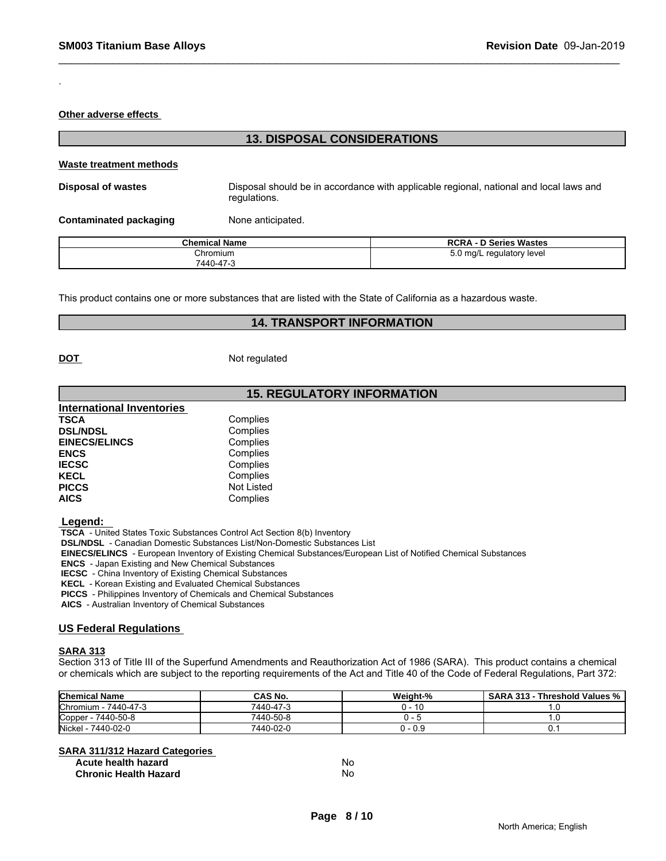**Other adverse effects** 

.

# **13. DISPOSAL CONSIDERATIONS**

#### **Waste treatment methods**

**Disposal of wastes** Disposal should be in accordance with applicable regional, national and local laws and regulations.

**Contaminated packaging Mone anticipated.** 

| <b>Chemical Name</b> | <b>RCRA - D Series Wastes</b> |
|----------------------|-------------------------------|
| Chromium             | 5.0 mg/L regulatory level     |
| 7440-47-3            |                               |

This product contains one or more substances that are listed with the State of California as a hazardous waste.

#### **14. TRANSPORT INFORMATION**

**DOT** Not regulated

### **15. REGULATORY INFORMATION**

| <b>International Inventories</b> |            |  |
|----------------------------------|------------|--|
| <b>TSCA</b>                      | Complies   |  |
| <b>DSL/NDSL</b>                  | Complies   |  |
| <b>EINECS/ELINCS</b>             | Complies   |  |
| <b>ENCS</b>                      | Complies   |  |
| <b>IECSC</b>                     | Complies   |  |
| <b>KECL</b>                      | Complies   |  |
| <b>PICCS</b>                     | Not Listed |  |
| <b>AICS</b>                      | Complies   |  |

 **Legend:** 

 **TSCA** - United States Toxic Substances Control Act Section 8(b) Inventory

 **DSL/NDSL** - Canadian Domestic Substances List/Non-Domestic Substances List

 **EINECS/ELINCS** - European Inventory of Existing Chemical Substances/European List of Notified Chemical Substances

 **ENCS** - Japan Existing and New Chemical Substances

 **IECSC** - China Inventory of Existing Chemical Substances

 **KECL** - Korean Existing and Evaluated Chemical Substances

 **PICCS** - Philippines Inventory of Chemicals and Chemical Substances

 **AICS** - Australian Inventory of Chemical Substances

#### **US Federal Regulations**

#### **SARA 313**

Section 313 of Title III of the Superfund Amendments and Reauthorization Act of 1986 (SARA). This product contains a chemical or chemicals which are subject to the reporting requirements of the Act and Title 40 of the Code of Federal Regulations, Part 372:

| <b>Chemical Name</b>         | <b>CAS No.</b> | Weight-%         | <b>SARA</b><br>313<br>Threshold Values % |
|------------------------------|----------------|------------------|------------------------------------------|
| <b>Chromium</b><br>7440-47-3 | 7440-47-5      | 1 C<br>- 16<br>. |                                          |
| 7440-50-8<br>Copper          | 7440-50-8      |                  |                                          |
| 7440-02-0<br>Nickel          | 7440-02-0      | 0.9 - ا          |                                          |

| <b>SARA 311/312 Hazard Categories</b> |    |
|---------------------------------------|----|
| Acute health hazard                   | No |
| <b>Chronic Health Hazard</b>          | No |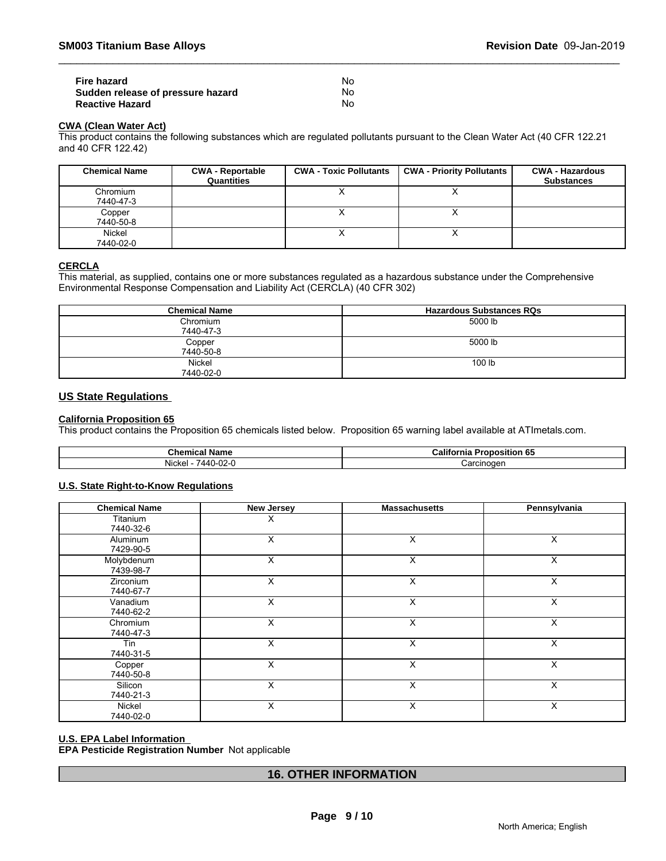| Fire hazard                       | Nο |
|-----------------------------------|----|
| Sudden release of pressure hazard | No |
| <b>Reactive Hazard</b>            | Nο |

# **CWA (Clean Water Act)**

This product contains the following substances which are regulated pollutants pursuant to the Clean Water Act (40 CFR 122.21 and 40 CFR 122.42)

| <b>Chemical Name</b> | <b>CWA - Reportable</b><br>Quantities | <b>CWA - Toxic Pollutants</b> | <b>CWA - Priority Pollutants</b> | <b>CWA - Hazardous</b><br><b>Substances</b> |
|----------------------|---------------------------------------|-------------------------------|----------------------------------|---------------------------------------------|
| Chromium             |                                       |                               | $\lambda$                        |                                             |
| 7440-47-3            |                                       |                               |                                  |                                             |
| Copper               |                                       |                               | $\lambda$                        |                                             |
| 7440-50-8            |                                       |                               |                                  |                                             |
| Nickel               |                                       |                               | ↗                                |                                             |
| 7440-02-0            |                                       |                               |                                  |                                             |

### **CERCLA**

This material, as supplied, contains one or more substances regulated as a hazardous substance under the Comprehensive Environmental Response Compensation and Liability Act (CERCLA) (40 CFR 302)

| <b>Chemical Name</b>       | <b>Hazardous Substances RQs</b> |
|----------------------------|---------------------------------|
| Chromium<br>7440-47-3      | 5000 lb                         |
| Copper<br>7440-50-8        | 5000 lb                         |
| <b>Nickel</b><br>7440-02-0 | 100 lb                          |

#### **US State Regulations**

#### **California Proposition 65**

This product contains the Proposition 65 chemicals listed below. Proposition 65 warning label available at ATImetals.com.

| Chemical Name                            | Californ<br>'ronosition<br>. O.<br>. nia |  |
|------------------------------------------|------------------------------------------|--|
| $\sim$<br>'440<br>Nicke<br><u>U-UZ-l</u> | :arcinoden                               |  |

#### **U.S. State Right-to-Know Regulations**

| <b>Chemical Name</b>    | <b>New Jersey</b> | <b>Massachusetts</b> | Pennsylvania |  |
|-------------------------|-------------------|----------------------|--------------|--|
| Titanium<br>7440-32-6   | X                 |                      |              |  |
| Aluminum<br>7429-90-5   | X                 | X                    | X            |  |
| Molybdenum<br>7439-98-7 | X                 | X                    | X            |  |
| Zirconium<br>7440-67-7  | X                 | X                    | X            |  |
| Vanadium<br>7440-62-2   | X                 | X                    | X            |  |
| Chromium<br>7440-47-3   | X                 | X                    | X            |  |
| Tin<br>7440-31-5        | X                 | X                    | X            |  |
| Copper<br>7440-50-8     | X                 | X                    | X            |  |
| Silicon<br>7440-21-3    | X                 | X                    | X            |  |
| Nickel<br>7440-02-0     | X                 | X                    | X            |  |

#### **U.S. EPA Label Information**

**EPA Pesticide Registration Number** Not applicable

# **16. OTHER INFORMATION**